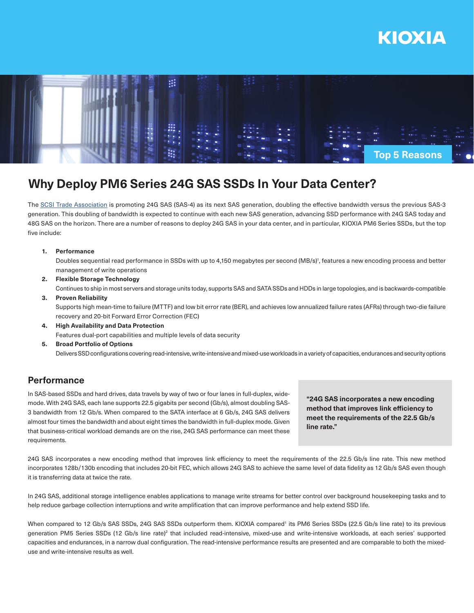



# **Why Deploy PM6 Series 24G SAS SSDs In Your Data Center?**

The SCSI Trade Association is promoting 24G SAS (SAS-4) as its next SAS generation, doubling the effective bandwidth versus the previous SAS-3 generation. This doubling of bandwidth is expected to continue with each new SAS generation, advancing SSD performance with 24G SAS today and 48G SAS on the horizon. There are a number of reasons to deploy 24G SAS in your data center, and in particular, KIOXIA PM6 Series SSDs, but the top five include:

### **1. Performance**

Doubles sequential read performance in SSDs with up to 4,150 megabytes per second (MB/s)<sup>1</sup>, features a new encoding process and better management of write operations

**2. Flexible Storage Technology** Continues to ship in most servers and storage units today, supports SAS and SATA SSDs and HDDs in large topologies, and is backwards-compatible

### **3. Proven Reliability**

Supports high mean-time to failure (MTTF) and low bit error rate (BER), and achieves low annualized failure rates (AFRs) through two-die failure recovery and 20-bit Forward Error Correction (FEC)

- **4. High Availability and Data Protection** Features dual-port capabilities and multiple levels of data security
- **5. Broad Portfolio of Options** Delivers SSD configurations covering read-intensive, write-intensive and mixed-use workloads in a variety of capacities, endurances and security options

# **Performance**

In SAS-based SSDs and hard drives, data travels by way of two or four lanes in full-duplex, widemode. With 24G SAS, each lane supports 22.5 gigabits per second (Gb/s), almost doubling SAS-3 bandwidth from 12 Gb/s. When compared to the SATA interface at 6 Gb/s, 24G SAS delivers almost four times the bandwidth and about eight times the bandwidth in full-duplex mode. Given that business-critical workload demands are on the rise, 24G SAS performance can meet these requirements.

**"24G SAS incorporates a new encoding method that improves link efficiency to meet the requirements of the 22.5 Gb/s line rate."**

24G SAS incorporates a new encoding method that improves link efficiency to meet the requirements of the 22.5 Gb/s line rate. This new method incorporates 128b/130b encoding that includes 20-bit FEC, which allows 24G SAS to achieve the same level of data fidelity as 12 Gb/s SAS even though it is transferring data at twice the rate.

In 24G SAS, additional storage intelligence enables applications to manage write streams for better control over background housekeeping tasks and to help reduce garbage collection interruptions and write amplification that can improve performance and help extend SSD life.

When compared to 12 Gb/s SAS SSDs, 24G SAS SSDs outperform them. KIOXIA compared' its PM6 Series SSDs (22.5 Gb/s line rate) to its previous generation PM5 Series SSDs (12 Gb/s line rate)<sup>2</sup> that included read-intensive, mixed-use and write-intensive workloads, at each series' supported capacities and endurances, in a narrow dual configuration. The read-intensive performance results are presented and are comparable to both the mixeduse and write-intensive results as well.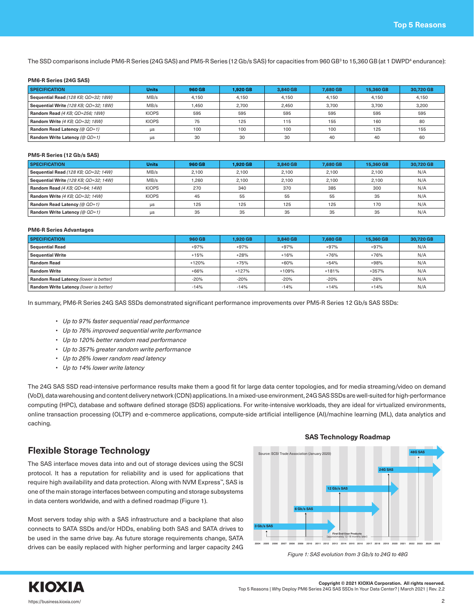The SSD comparisons include PM6-R Series (24G SAS) and PM5-R Series (12 Gb/s SAS) for capacities from 960 GB3 to 15,360 GB (at 1 DWPD4 endurance):

#### **PM6-R Series (24G SAS)**

| <b>SPECIFICATION</b>                  | <b>Units</b> | 960 GB | 1.920 GB | 3.840 GB | 7.680 GB | 15,360 GB | 30.720 GB |
|---------------------------------------|--------------|--------|----------|----------|----------|-----------|-----------|
| Sequential Read (128 KB; QD=32; 18W)  | MB/s         | 4.150  | 4.150    | 4.150    | 4.150    | 4.150     | 4.150     |
| Sequential Write (128 KB; QD=32; 18W) | MB/s         | 1.450  | 2,700    | 2,450    | 3,700    | 3.700     | 3,200     |
| Random Read (4 KB; QD=256; 18W)       | <b>KIOPS</b> | 595    | 595      | 595      | 595      | 595       | 595       |
| Random Write (4 KB; QD=32; 18W)       | <b>KIOPS</b> | 75     | 125      | 115      | 155      | 160       | 80        |
| Random Read Latency (@ QD=1)          | μs           | 100    | 100      | 100      | 100      | 125       | 155       |
| Random Write Latency (@ QD=1)         | μs           | 30     | 30       | 30       | 40       | 40        | 60        |

#### **PM5-R Series (12 Gb/s SAS)**

| <b>SPECIFICATION</b>                  | <b>Units</b> | 960 GB | 1.920 GB | 3.840 GB | 7.680 GB | 15,360 GB | 30.720 GB |
|---------------------------------------|--------------|--------|----------|----------|----------|-----------|-----------|
| Sequential Read (128 KB; QD=32; 14W)  | MB/s         | 2,100  | 2.100    | 2.100    | 2.100    | 2.100     | N/A       |
| Sequential Write (128 KB; QD=32; 14W) | MB/s         | 1.260  | 2.100    | 2.100    | 2.100    | 2.100     | N/A       |
| Random Read (4 KB: QD=64: 14W)        | <b>KIOPS</b> | 270    | 340      | 370      | 385      | 300       | N/A       |
| Random Write (4 KB; QD=32; 14W)       | <b>KIOPS</b> | 45     | 55       | 55       | 55       | 35        | N/A       |
| Random Read Latency (@ QD=1)          | μs           | 125    | 125      | 125      | 125      | 170       | N/A       |
| Random Write Latency (@ QD=1)         | μs           | 35     | 35       | 35       | 35       | 35        | N/A       |

#### **PM6-R Series Advantages**

| <b>SPECIFICATION</b>                   | 960 GB  | 1.920 GB | 3.840 GB | 7.680 GB | 15,360 GB | 30.720 GB |
|----------------------------------------|---------|----------|----------|----------|-----------|-----------|
| <b>Sequential Read</b>                 | $+97%$  | $+97%$   | $+97%$   | $+97%$   | $+97%$    | N/A       |
| <b>Sequential Write</b>                | $+15%$  | $+28%$   | $+16%$   | $+76%$   | $+76%$    | N/A       |
| <b>Random Read</b>                     | $+120%$ | $+75%$   | $+60%$   | $+54%$   | $+98%$    | N/A       |
| <b>Random Write</b>                    | $+66%$  | $+127%$  | $+109%$  | $+181%$  | $+357%$   | N/A       |
| Random Read Latency (lower is better)  | $-20%$  | $-20%$   | $-20%$   | $-20%$   | $-26%$    | N/A       |
| Random Write Latency (lower is better) | $-14%$  | $-14%$   | $-14%$   | $+14%$   | $+14%$    | N/A       |

In summary, PM6-R Series 24G SAS SSDs demonstrated significant performance improvements over PM5-R Series 12 Gb/s SAS SSDs:

- *• Up to 97% faster sequential read performance*
- *• Up to 76% improved sequential write performance*
- *• Up to 120% better random read performance*
- *• Up to 357% greater random write performance*
- *• Up to 26% lower random read latency*
- *• Up to 14% lower write latency*

The 24G SAS SSD read-intensive performance results make them a good fit for large data center topologies, and for media streaming/video on demand (VoD), data warehousing and content delivery network (CDN) applications. In a mixed-use environment, 24G SAS SSDs are well-suited for high-performance computing (HPC), database and software defined storage (SDS) applications. For write-intensive workloads, they are ideal for virtualized environments, online transaction processing (OLTP) and e-commerce applications, compute-side artificial intelligence (AI)/machine learning (ML), data analytics and caching.

### **Flexible Storage Technology**

The SAS interface moves data into and out of storage devices using the SCSI protocol. It has a reputation for reliability and is used for applications that require high availability and data protection. Along with NVM Express™, SAS is one of the main storage interfaces between computing and storage subsystems in data centers worldwide, and with a defined roadmap (Figure 1).

Most servers today ship with a SAS infrastructure and a backplane that also connects to SATA SSDs and/or HDDs, enabling both SAS and SATA drives to be used in the same drive bay. As future storage requirements change, SATA drives can be easily replaced with higher performing and larger capacity 24G

### **SAS Technology Roadmap**





**Copyright © 2021 KIOXIA Corporation. All rights reserved.**<br>2.2. Top 5 Reasons | Why Deploy PM6 Series 24G SAS SSDs In Your Data Center? | March 2021 | Rev. 2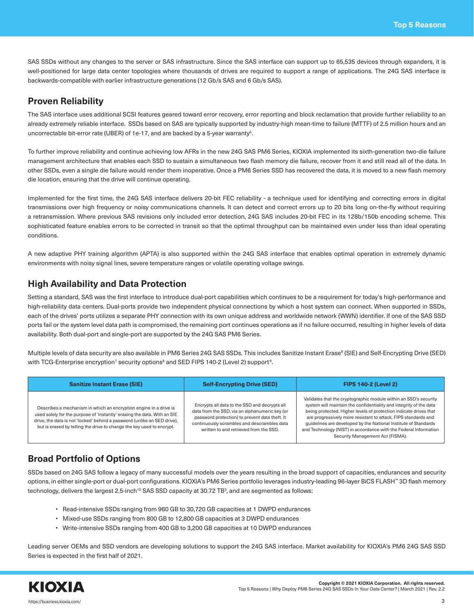SAS SSDs without any changes to the server or SAS infrastructure. Since the SAS interface can support up to 65,535 devices through expanders, it is well-positioned for large data center topologies where thousands of drives are required to support a range of applications. The 24G SAS interface is backwards-compatible with earlier infrastructure generations (12 Gb/s SAS and 6 Gb/s SAS).

## **Proven Reliability**

The SAS interface uses additional SCSI features geared toward error recovery, error reporting and block reclamation that provide further reliability to an already extremely reliable interface. SSDs based on SAS are typically supported by industry-high mean-time to failure (MTTF) of 2.5 million hours and an uncorrectable bit-error rate (UBER) of 1e-17, and are backed by a 5-year warranty $^5$ .

To further improve reliability and continue achieving low AFRs in the new 24G SAS PM6 Series, KIOXIA implemented its sixth-generation two-die failure management architecture that enables each SSD to sustain a simultaneous two flash memory die failure, recover from it and still read all of the data. In other SSDs, even a single die failure would render them inoperative. Once a PM6 Series SSD has recovered the data, it is moved to a new flash memory die location, ensuring that the drive will continue operating.

Implemented for the first time, the 24G SAS interface delivers 20-bit FEC reliability - a technique used for identifying and correcting errors in digital transmissions over high frequency or noisy communications channels. It can detect and correct errors up to 20 bits long on-the-fly without requiring a retransmission. Where previous SAS revisions only included error detection, 24G SAS includes 20-bit FEC in its 128b/150b encoding scheme. This sophisticated feature enables errors to be corrected in transit so that the optimal throughput can be maintained even under less than ideal operating conditions.

A new adaptive PHY training algorithm (APTA) is also supported within the 24G SAS interface that enables optimal operation in extremely dynamic environments with noisy signal lines, severe temperature ranges or volatile operating voltage swings.

# **High Availability and Data Protection**

Setting a standard, SAS was the first interface to introduce dual-port capabilities which continues to be a requirement for today's high-performance and high-reliability data centers. Dual-ports provide two independent physical connections by which a host system can connect. When supported in SSDs, each of the drives' ports utilizes a separate PHY connection with its own unique address and worldwide network (WWN) identifier. If one of the SAS SSD ports fail or the system level data path is compromised, the remaining port continues operations as if no failure occurred, resulting in higher levels of data availability. Both dual-port and single-port are supported by the 24G SAS PM6 Series.

Multiple levels of data security are also available in PM6 Series 24G SAS SSDs. This includes Sanitize Instant Erase<sup>6</sup> (SIE) and Self-Encrypting Drive (SED) with TCG-Enterprise encryption<sup>7</sup> security options<sup>8</sup> and SED FIPS 140-2 (Level 2) support<sup>9</sup>.

| <b>Sanitize Instant Erase (SIE)</b>                                                                                                                                                                                                                                                                | <b>Self-Encrypting Drive (SED)</b>                                                                                                                                                                                                         | <b>FIPS 140-2 (Level 2)</b>                                                                                                                                                                                                                                                                                                                                                                                                                              |
|----------------------------------------------------------------------------------------------------------------------------------------------------------------------------------------------------------------------------------------------------------------------------------------------------|--------------------------------------------------------------------------------------------------------------------------------------------------------------------------------------------------------------------------------------------|----------------------------------------------------------------------------------------------------------------------------------------------------------------------------------------------------------------------------------------------------------------------------------------------------------------------------------------------------------------------------------------------------------------------------------------------------------|
| Describes a mechanism in which an encryption engine in a drive is<br>used solely for the purpose of 'instantly' erasing the data. With an SIE<br>drive, the data is not 'locked' behind a password (unlike an SED drive),<br>but is erased by telling the drive to change the key used to encrypt. | Encrypts all data to the SSD and decrypts all<br>data from the SSD, via an alphanumeric key (or<br>password protection) to prevent data theft. It<br>continuously scrambles and descrambles data<br>written to and retrieved from the SSD. | Validates that the cryptographic module within an SSD's security<br>system will maintain the confidentiality and integrity of the data<br>being protected. Higher levels of protection indicate drives that<br>are progressively more resistant to attack. FIPS standards and<br>guidelines are developed by the National Institute of Standards<br>and Technology (NIST) in accordance with the Federal Information<br>Security Management Act (FISMA). |

# **Broad Portfolio of Options**

SSDs based on 24G SAS follow a legacy of many successful models over the years resulting in the broad support of capacities, endurances and security options, in either single-port or dual-port configurations. KIOXIA's PM6 Series portfolio leverages industry-leading 96-layer BiCS FLASH™ 3D flash memory technology, delivers the largest 2.5-inch $^{10}$  SAS SSD capacity at 30.72 TB $^{\rm 3}$ , and are segmented as follows:

- Read-intensive SSDs ranging from 960 GB to 30,720 GB capacities at 1 DWPD endurances
- Mixed-use SSDs ranging from 800 GB to 12,800 GB capacities at 3 DWPD endurances
- Write-intensive SSDs ranging from 400 GB to 3,200 GB capacities at 10 DWPD endurances

Leading server OEMs and SSD vendors are developing solutions to support the 24G SAS interface. Market availability for KIOXIA's PM6 24G SAS SSD Series is expected in the first half of 2021.